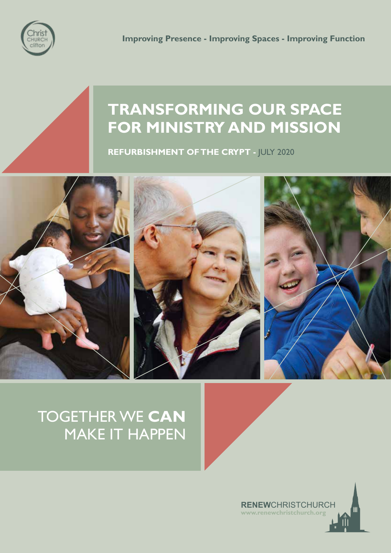

## **TRANSFORMING OUR SPACE FOR MINISTRY AND MISSION**

**REFURBISHMENT OF THE CRYPT - JULY 2020** 



### TOGETHER WE **CAN** MAKE IT HAPPEN

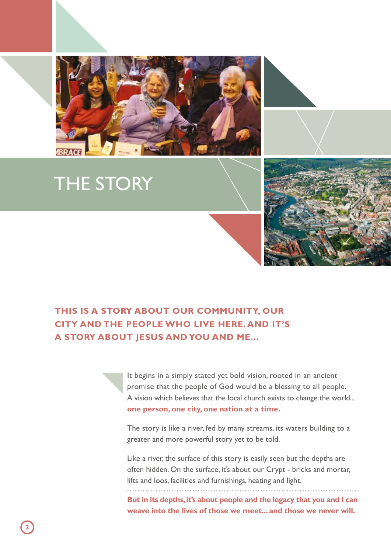

# THE STORY



#### **THIS IS A STORY ABOUT OUR COMMUNITY, OUR CITY AND THE PEOPLE WHO LIVE HERE. AND IT'S A STORY ABOUT JESUS AND YOU AND ME...**

It begins in a simply stated yet bold vision, rooted in an ancient promise that the people of God would be a blessing to all people. A vision which believes that the local church exists to change the world... **one person, one city, one nation at a time.**

The story is like a river, fed by many streams, its waters building to a greater and more powerful story yet to be told.

Like a river, the surface of this story is easily seen but the depths are often hidden. On the surface, it's about our Crypt - bricks and mortar, lifts and loos, facilities and furnishings, heating and light.

**But in its depths, it's about people and the legacy that you and I can weave into the lives of those we meet... and those we never will.**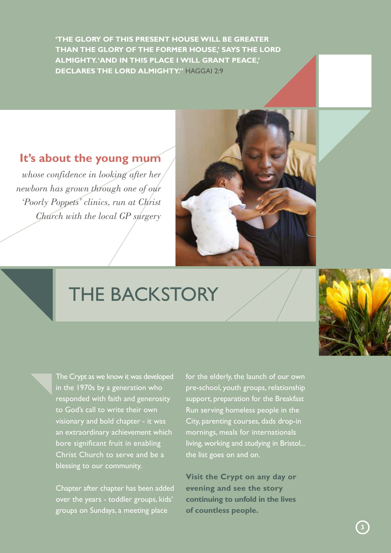**'THE GLORY OF THIS PRESENT HOUSE WILL BE GREATER THAN THE GLORY OF THE FORMER HOUSE,' SAYS THE LORD ALMIGHTY. 'AND IN THIS PLACE I WILL GRANT PEACE,' DECLARES THE LORD ALMIGHTY."** HAGGAI 2:9

#### **It's about the young mum**

*whose confidence in looking after her newborn has grown through one of our 'Poorly Poppets' clinics, run at Christ Church with the local GP surgery*



# THE BACKSTORY

The Crypt as we know it was developed in the 1970s by a generation who responded with faith and generosity to God's call to write their own visionary and bold chapter - it was an extraordinary achievement which bore significant fruit in enabling Christ Church to serve and be a blessing to our community.

Chapter after chapter has been added over the years - toddler groups, kids' groups on Sundays, a meeting place

for the elderly, the launch of our own pre-school, youth groups, relationship support, preparation for the Breakfast Run serving homeless people in the City, parenting courses, dads drop-in mornings, meals for internationals living, working and studying in Bristol... the list goes on and on.

**Visit the Crypt on any day or evening and see the story continuing to unfold in the lives of countless people.**

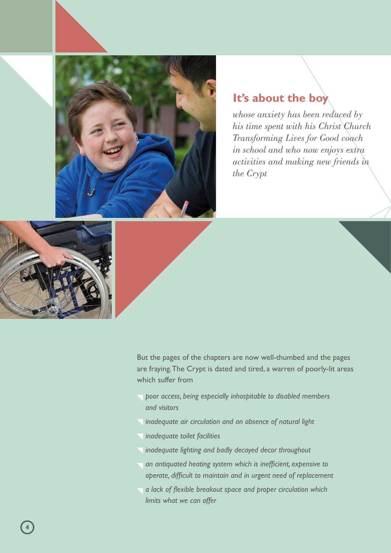

#### **It's about the boy**

*whose anxiety has been reduced by his time spent with his Christ Church Transforming Lives for Good coach in school and who now enjoys extra activities and making new friends in the Crypt* 



But the pages of the chapters are now well-thumbed and the pages are fraying. The Crypt is dated and tired, a warren of poorly-lit areas which suffer from

- *poor access, being especially inhospitable to disabled members and visitors*
- *inadequate air circulation and an absence of natural light*
- *inadequate toilet facilities*
- *inadequate lighting and badly decayed decor throughout*
- *an antiquated heating system which is inefficient, expensive to operate, difficult to maintain and in urgent need of replacement*
- *a lack of flexible breakout space and proper circulation which limits what we can offer*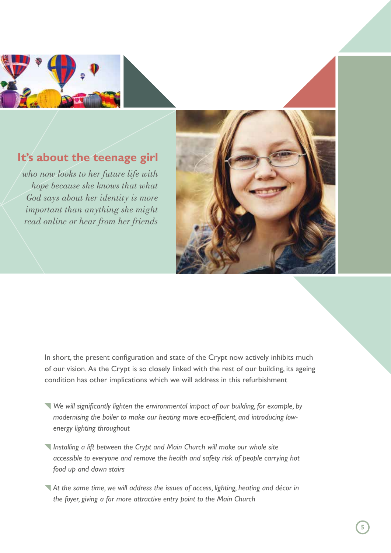

### **It's about the teenage girl**

*who now looks to her future life with hope because she knows that what God says about her identity is more important than anything she might read online or hear from her friends*



In short, the present configuration and state of the Crypt now actively inhibits much of our vision. As the Crypt is so closely linked with the rest of our building, its ageing condition has other implications which we will address in this refurbishment

- *We will significantly lighten the environmental impact of our building, for example, by modernising the boiler to make our heating more eco-efficient, and introducing low energy lighting throughout*
- *Installing a lift between the Crypt and Main Church will make our whole site accessible to everyone and remove the health and safety risk of people carrying hot food up and down stairs*
- *At the same time, we will address the issues of access, lighting, heating and décor in the foyer, giving a far more attractive entry point to the Main Church*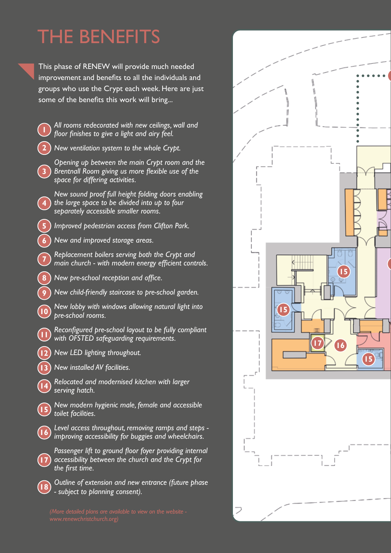# THE BENEFITS

This phase of RENEW will provide much needed improvement and benefits to all the individuals and groups who use the Crypt each week. Here are just some of the benefits this work will bring...

|                         | All rooms redecorated with new ceilings, wall and<br>floor finishes to give a light and airy feel.                                          |
|-------------------------|---------------------------------------------------------------------------------------------------------------------------------------------|
| 2                       | New ventilation system to the whole Crypt.                                                                                                  |
| $\overline{\mathbf{3}}$ | Opening up between the main Crypt room and the<br>Brentnall Room giving us more flexible use of the<br>space for differing activities.      |
| $\overline{\mathbf{4}}$ | New sound proof full height folding doors enabling<br>the large space to be divided into up to four<br>separately accessible smaller rooms. |
| 5                       | Improved pedestrian access from Clifton Park.                                                                                               |
| $\overline{6}$          | New and improved storage areas.                                                                                                             |
| 7                       | Replacement boilers serving both the Crypt and<br>main church - with modern energy efficient controls.                                      |
| $\bf{8}$                | New pre-school reception and office.                                                                                                        |
| 9                       | New child-friendly staircase to pre-school garden.                                                                                          |
| $\overline{10}$         | New lobby with windows allowing natural light into<br>pre-school rooms.                                                                     |
|                         | Reconfigured pre-school layout to be fully compliant<br>with OFSTED safeguarding requirements.                                              |
| $\overline{12}$         | New LED lighting throughout.                                                                                                                |
| $\overline{1}$          | New installed AV facilities.                                                                                                                |
| $\overline{14}$         | Relocated and modernised kitchen with larger<br>serving hatch.                                                                              |
| $\overline{15}$         | New modern hygienic male, female and accessible<br>toilet facilities.                                                                       |
|                         | Level access throughout, removing ramps and steps -<br>improving accessibility for buggies and wheelchairs.                                 |
|                         | Passenger lift to ground floor foyer providing internal<br>accessibility between the church and the Crypt for<br>the first time.            |
|                         | Outline of extension and new entrance (future phase<br>- subject to planning consent).                                                      |

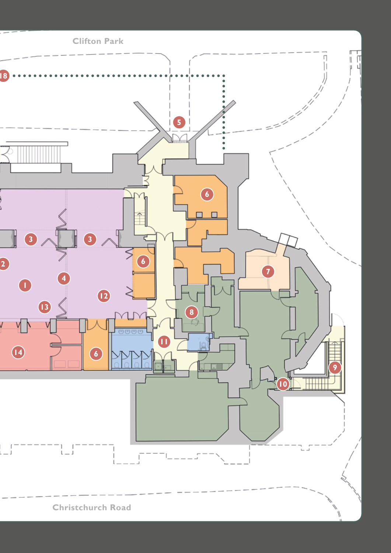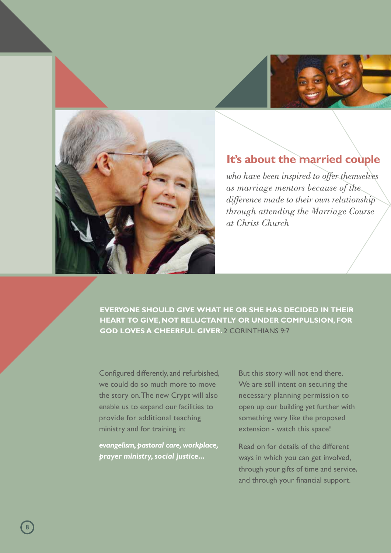



### **It's about the married couple**

*who have been inspired to offer themselves as marriage mentors because of the difference made to their own relationship through attending the Marriage Course at Christ Church*

**EVERYONE SHOULD GIVE WHAT HE OR SHE HAS DECIDED IN THEIR HEART TO GIVE, NOT RELUCTANTLY OR UNDER COMPULSION, FOR GOD LOVES A CHEERFUL GIVER.** 2 CORINTHIANS 9:7

Configured differently, and refurbished, we could do so much more to move the story on. The new Crypt will also enable us to expand our facilities to provide for additional teaching ministry and for training in:

*evangelism, pastoral care, workplace, prayer ministry, social justice...*

But this story will not end there. We are still intent on securing the necessary planning permission to open up our building yet further with something very like the proposed extension - watch this space!

Read on for details of the different ways in which you can get involved, through your gifts of time and service, and through your financial support.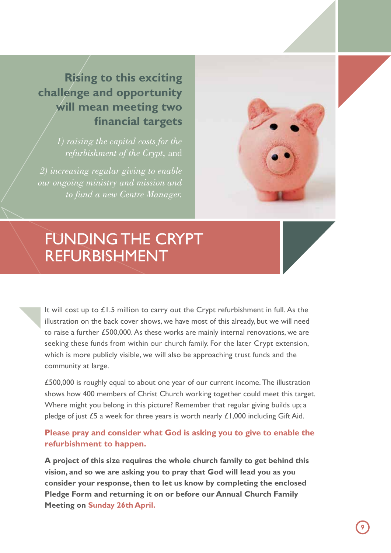### **Rising to this exciting challenge and opportunity will mean meeting two financial targets**

*1) raising the capital costs for the refurbishment of the Crypt,* and

*2) increasing regular giving to enable our ongoing ministry and mission and to fund a new Centre Manager.*



## FUNDING THE CRYPT REFURBISHMENT

It will cost up to £1.5 million to carry out the Crypt refurbishment in full. As the illustration on the back cover shows, we have most of this already, but we will need to raise a further £500,000. As these works are mainly internal renovations, we are seeking these funds from within our church family. For the later Crypt extension, which is more publicly visible, we will also be approaching trust funds and the community at large.

£500,000 is roughly equal to about one year of our current income. The illustration shows how 400 members of Christ Church working together could meet this target. Where might you belong in this picture? Remember that regular giving builds up; a pledge of just £5 a week for three years is worth nearly £1,000 including Gift Aid.

#### **Please pray and consider what God is asking you to give to enable the refurbishment to happen.**

**A project of this size requires the whole church family to get behind this vision, and so we are asking you to pray that God will lead you as you consider your response, then to let us know by completing the enclosed Pledge Form and returning it on or before our Annual Church Family Meeting on Sunday 26th April.**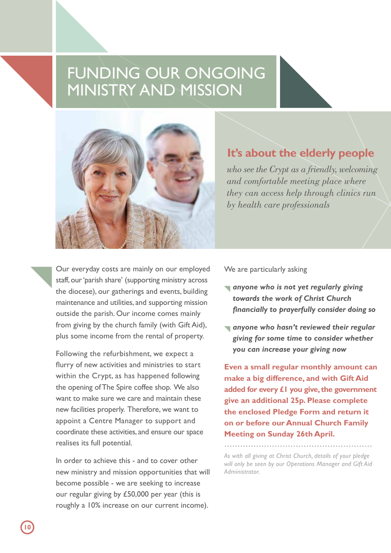## FUNDING OUR ONGOING MINISTRY AND MISSION



#### **It's about the elderly people**

*who see the Crypt as a friendly, welcoming and comfortable meeting place where they can access help through clinics run by health care professionals*

Our everyday costs are mainly on our employed staff, our 'parish share' (supporting ministry across the diocese), our gatherings and events, building maintenance and utilities, and supporting mission outside the parish. Our income comes mainly from giving by the church family (with Gift Aid), plus some income from the rental of property.

Following the refurbishment, we expect a flurry of new activities and ministries to start within the Crypt, as has happened following the opening of The Spire coffee shop. We also want to make sure we care and maintain these new facilities properly. Therefore, we want to appoint a Centre Manager to support and coordinate these activities, and ensure our space realises its full potential.

In order to achieve this - and to cover other new ministry and mission opportunities that will become possible - we are seeking to increase our regular giving by £50,000 per year (this is roughly a 10% increase on our current income).

We are particularly asking

- *anyone who is not yet regularly giving towards the work of Christ Church financially to prayerfully consider doing so*
- *anyone who hasn't reviewed their regular giving for some time to consider whether you can increase your giving now*

**Even a small regular monthly amount can make a big difference, and with Gift Aid added for every £1 you give, the government give an additional 25p. Please complete the enclosed Pledge Form and return it on or before our Annual Church Family Meeting on Sunday 26th April.** 

*As with all giving at Christ Church, details of your pledge will only be seen by our Operations Manager and Gift Aid Administrator.*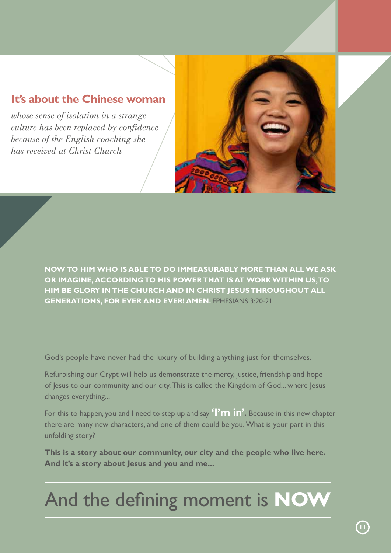### **It's about the Chinese woman**

*whose sense of isolation in a strange culture has been replaced by confidence because of the English coaching she has received at Christ Church*



**NOW TO HIM WHO IS ABLE TO DO IMMEASURABLY MORE THAN ALL WE ASK OR IMAGINE, ACCORDING TO HIS POWER THAT IS AT WORK WITHIN US, TO HIM BE GLORY IN THE CHURCH AND IN CHRIST JESUS THROUGHOUT ALL GENERATIONS, FOR EVER AND EVER! AMEN.** EPHESIANS 3:20-21

God's people have never had the luxury of building anything just for themselves.

Refurbishing our Crypt will help us demonstrate the mercy, justice, friendship and hope of Jesus to our community and our city. This is called the Kingdom of God... where Jesus changes everything...

For this to happen, you and I need to step up and say **'I'm in'.** Because in this new chapter there are many new characters, and one of them could be you. What is your part in this unfolding story?

**This is a story about our community, our city and the people who live here. And it's a story about Jesus and you and me...**

# And the defining moment is **NOW**